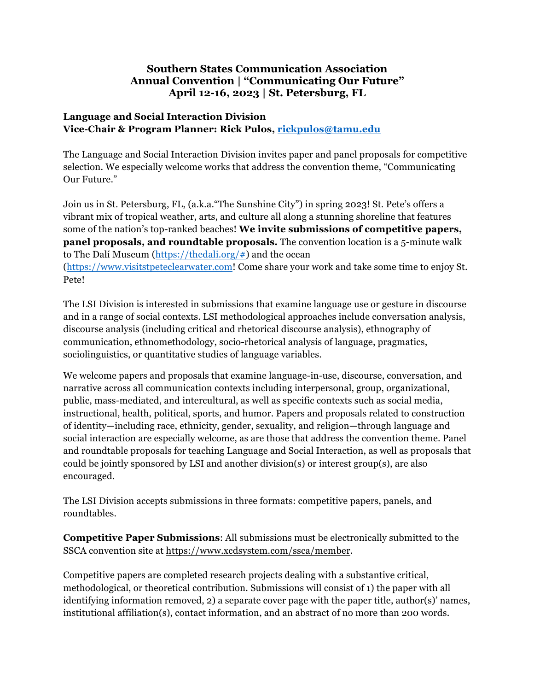## **Southern States Communication Association Annual Convention | "Communicating Our Future" April 12-16, 2023 | St. Petersburg, FL**

## **Language and Social Interaction Division Vice-Chair & Program Planner: Rick Pulos, rickpulos@tamu.edu**

The Language and Social Interaction Division invites paper and panel proposals for competitive selection. We especially welcome works that address the convention theme, "Communicating Our Future."

Join us in St. Petersburg, FL, (a.k.a."The Sunshine City") in spring 2023! St. Pete's offers a vibrant mix of tropical weather, arts, and culture all along a stunning shoreline that features some of the nation's top-ranked beaches! **We invite submissions of competitive papers, panel proposals, and roundtable proposals.** The convention location is a 5-minute walk to The Dalí Museum (https://thedali.org/#) and the ocean (https://www.visitstpeteclearwater.com! Come share your work and take some time to enjoy St. Pete!

The LSI Division is interested in submissions that examine language use or gesture in discourse and in a range of social contexts. LSI methodological approaches include conversation analysis, discourse analysis (including critical and rhetorical discourse analysis), ethnography of communication, ethnomethodology, socio-rhetorical analysis of language, pragmatics, sociolinguistics, or quantitative studies of language variables.

We welcome papers and proposals that examine language-in-use, discourse, conversation, and narrative across all communication contexts including interpersonal, group, organizational, public, mass-mediated, and intercultural, as well as specific contexts such as social media, instructional, health, political, sports, and humor. Papers and proposals related to construction of identity—including race, ethnicity, gender, sexuality, and religion—through language and social interaction are especially welcome, as are those that address the convention theme. Panel and roundtable proposals for teaching Language and Social Interaction, as well as proposals that could be jointly sponsored by LSI and another division(s) or interest group(s), are also encouraged.

The LSI Division accepts submissions in three formats: competitive papers, panels, and roundtables.

**Competitive Paper Submissions**: All submissions must be electronically submitted to the SSCA convention site at https://www.xcdsystem.com/ssca/member.

Competitive papers are completed research projects dealing with a substantive critical, methodological, or theoretical contribution. Submissions will consist of 1) the paper with all identifying information removed, 2) a separate cover page with the paper title, author(s)' names, institutional affiliation(s), contact information, and an abstract of no more than 200 words.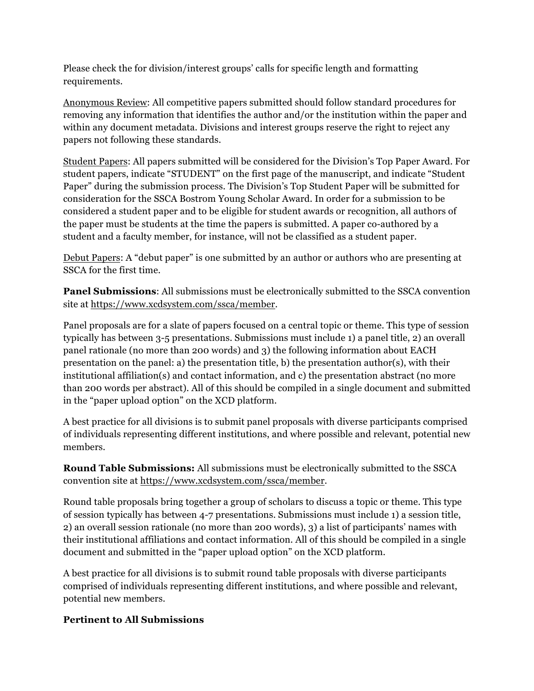Please check the for division/interest groups' calls for specific length and formatting requirements.

Anonymous Review: All competitive papers submitted should follow standard procedures for removing any information that identifies the author and/or the institution within the paper and within any document metadata. Divisions and interest groups reserve the right to reject any papers not following these standards.

Student Papers: All papers submitted will be considered for the Division's Top Paper Award. For student papers, indicate "STUDENT" on the first page of the manuscript, and indicate "Student Paper" during the submission process. The Division's Top Student Paper will be submitted for consideration for the SSCA Bostrom Young Scholar Award. In order for a submission to be considered a student paper and to be eligible for student awards or recognition, all authors of the paper must be students at the time the papers is submitted. A paper co-authored by a student and a faculty member, for instance, will not be classified as a student paper.

Debut Papers: A "debut paper" is one submitted by an author or authors who are presenting at SSCA for the first time.

**Panel Submissions**: All submissions must be electronically submitted to the SSCA convention site at https://www.xcdsystem.com/ssca/member.

Panel proposals are for a slate of papers focused on a central topic or theme. This type of session typically has between 3-5 presentations. Submissions must include 1) a panel title, 2) an overall panel rationale (no more than 200 words) and 3) the following information about EACH presentation on the panel: a) the presentation title, b) the presentation author(s), with their institutional affiliation(s) and contact information, and c) the presentation abstract (no more than 200 words per abstract). All of this should be compiled in a single document and submitted in the "paper upload option" on the XCD platform.

A best practice for all divisions is to submit panel proposals with diverse participants comprised of individuals representing different institutions, and where possible and relevant, potential new members.

**Round Table Submissions:** All submissions must be electronically submitted to the SSCA convention site at https://www.xcdsystem.com/ssca/member.

Round table proposals bring together a group of scholars to discuss a topic or theme. This type of session typically has between 4-7 presentations. Submissions must include 1) a session title, 2) an overall session rationale (no more than 200 words), 3) a list of participants' names with their institutional affiliations and contact information. All of this should be compiled in a single document and submitted in the "paper upload option" on the XCD platform.

A best practice for all divisions is to submit round table proposals with diverse participants comprised of individuals representing different institutions, and where possible and relevant, potential new members.

## **Pertinent to All Submissions**